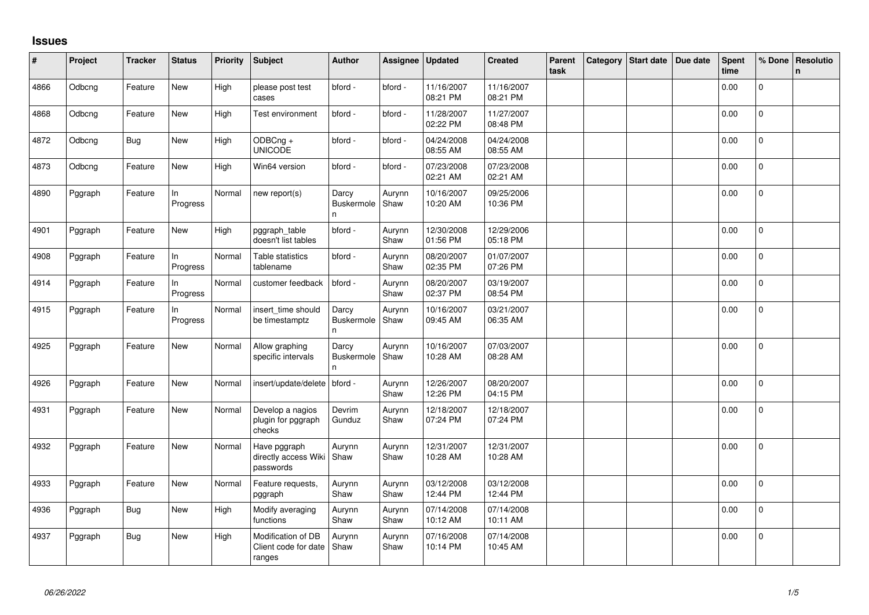## **Issues**

| #    | Project | <b>Tracker</b> | <b>Status</b>   | Priority | <b>Subject</b>                                       | <b>Author</b>                    | Assignee       | Updated                | <b>Created</b>         | Parent<br>task | Category Start date | Due date | <b>Spent</b><br>time | % Done         | Resolutio<br>$\mathsf{n}$ |
|------|---------|----------------|-----------------|----------|------------------------------------------------------|----------------------------------|----------------|------------------------|------------------------|----------------|---------------------|----------|----------------------|----------------|---------------------------|
| 4866 | Odbcng  | Feature        | New             | High     | please post test<br>cases                            | bford -                          | bford -        | 11/16/2007<br>08:21 PM | 11/16/2007<br>08:21 PM |                |                     |          | 0.00                 | $\overline{0}$ |                           |
| 4868 | Odbcng  | Feature        | New             | High     | Test environment                                     | bford -                          | bford -        | 11/28/2007<br>02:22 PM | 11/27/2007<br>08:48 PM |                |                     |          | 0.00                 | $\mathbf{0}$   |                           |
| 4872 | Odbcng  | <b>Bug</b>     | New             | High     | ODBCng +<br><b>UNICODE</b>                           | bford -                          | bford -        | 04/24/2008<br>08:55 AM | 04/24/2008<br>08:55 AM |                |                     |          | 0.00                 | $\mathbf 0$    |                           |
| 4873 | Odbcng  | Feature        | New             | High     | Win64 version                                        | bford -                          | bford -        | 07/23/2008<br>02:21 AM | 07/23/2008<br>02:21 AM |                |                     |          | 0.00                 | $\mathbf 0$    |                           |
| 4890 | Pggraph | Feature        | In<br>Progress  | Normal   | new report(s)                                        | Darcy<br><b>Buskermole</b><br>n  | Aurynn<br>Shaw | 10/16/2007<br>10:20 AM | 09/25/2006<br>10:36 PM |                |                     |          | 0.00                 | 0              |                           |
| 4901 | Pggraph | Feature        | New             | High     | pggraph_table<br>doesn't list tables                 | bford -                          | Aurynn<br>Shaw | 12/30/2008<br>01:56 PM | 12/29/2006<br>05:18 PM |                |                     |          | 0.00                 | $\Omega$       |                           |
| 4908 | Pggraph | Feature        | In<br>Progress  | Normal   | Table statistics<br>tablename                        | bford -                          | Aurynn<br>Shaw | 08/20/2007<br>02:35 PM | 01/07/2007<br>07:26 PM |                |                     |          | 0.00                 | $\mathbf 0$    |                           |
| 4914 | Pggraph | Feature        | In.<br>Progress | Normal   | customer feedback                                    | bford -                          | Aurynn<br>Shaw | 08/20/2007<br>02:37 PM | 03/19/2007<br>08:54 PM |                |                     |          | 0.00                 | $\mathbf 0$    |                           |
| 4915 | Pggraph | Feature        | In<br>Progress  | Normal   | insert_time should<br>be timestamptz                 | Darcy<br><b>Buskermole</b><br>n. | Aurynn<br>Shaw | 10/16/2007<br>09:45 AM | 03/21/2007<br>06:35 AM |                |                     |          | 0.00                 | $\mathbf 0$    |                           |
| 4925 | Pggraph | Feature        | New             | Normal   | Allow graphing<br>specific intervals                 | Darcy<br>Buskermole<br>n         | Aurynn<br>Shaw | 10/16/2007<br>10:28 AM | 07/03/2007<br>08:28 AM |                |                     |          | 0.00                 | $\overline{0}$ |                           |
| 4926 | Pggraph | Feature        | New             | Normal   | insert/update/delete                                 | bford -                          | Aurynn<br>Shaw | 12/26/2007<br>12:26 PM | 08/20/2007<br>04:15 PM |                |                     |          | 0.00                 | 0              |                           |
| 4931 | Pggraph | Feature        | New             | Normal   | Develop a nagios<br>plugin for pggraph<br>checks     | Devrim<br>Gunduz                 | Aurynn<br>Shaw | 12/18/2007<br>07:24 PM | 12/18/2007<br>07:24 PM |                |                     |          | 0.00                 | 0              |                           |
| 4932 | Pggraph | Feature        | New             | Normal   | Have pggraph<br>directly access Wiki<br>passwords    | Aurynn<br>Shaw                   | Aurynn<br>Shaw | 12/31/2007<br>10:28 AM | 12/31/2007<br>10:28 AM |                |                     |          | 0.00                 | $\pmb{0}$      |                           |
| 4933 | Pggraph | Feature        | <b>New</b>      | Normal   | Feature requests,<br>pggraph                         | Aurynn<br>Shaw                   | Aurynn<br>Shaw | 03/12/2008<br>12:44 PM | 03/12/2008<br>12:44 PM |                |                     |          | 0.00                 | $\Omega$       |                           |
| 4936 | Pggraph | Bug            | New             | High     | Modify averaging<br>functions                        | Aurynn<br>Shaw                   | Aurynn<br>Shaw | 07/14/2008<br>10:12 AM | 07/14/2008<br>10:11 AM |                |                     |          | 0.00                 | $\Omega$       |                           |
| 4937 | Pggraph | <b>Bug</b>     | New             | High     | Modification of DB<br>Client code for date<br>ranges | Aurynn<br>Shaw                   | Aurynn<br>Shaw | 07/16/2008<br>10:14 PM | 07/14/2008<br>10:45 AM |                |                     |          | 0.00                 | $\overline{0}$ |                           |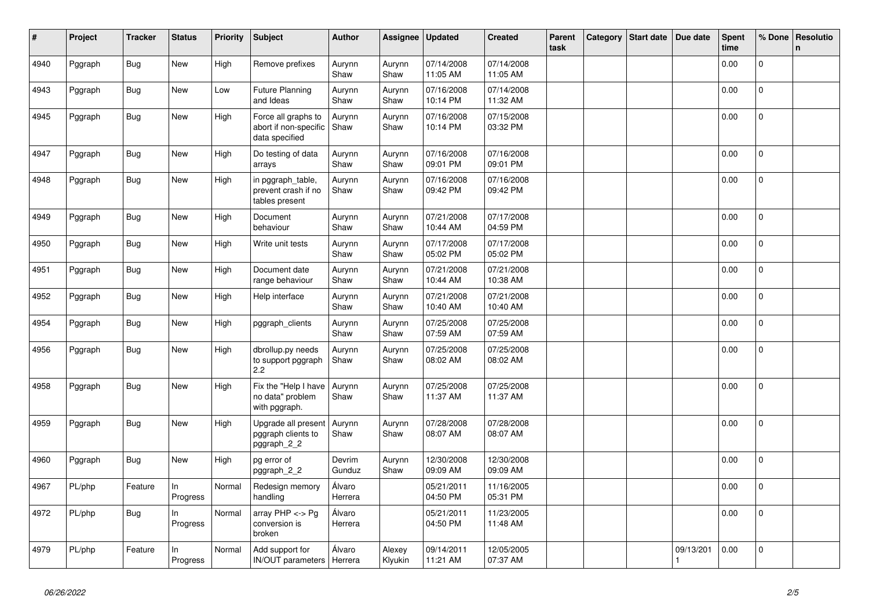| #    | Project | <b>Tracker</b> | <b>Status</b>   | <b>Priority</b> | <b>Subject</b>                                                 | <b>Author</b>     | Assignee          | <b>Updated</b>         | <b>Created</b>         | Parent<br>task | Category | <b>Start date</b> | Due date  | Spent<br>time | % Done       | Resolutio<br>n |
|------|---------|----------------|-----------------|-----------------|----------------------------------------------------------------|-------------------|-------------------|------------------------|------------------------|----------------|----------|-------------------|-----------|---------------|--------------|----------------|
| 4940 | Pggraph | <b>Bug</b>     | New             | High            | Remove prefixes                                                | Aurynn<br>Shaw    | Aurynn<br>Shaw    | 07/14/2008<br>11:05 AM | 07/14/2008<br>11:05 AM |                |          |                   |           | 0.00          | $\mathbf{0}$ |                |
| 4943 | Pggraph | <b>Bug</b>     | <b>New</b>      | Low             | <b>Future Planning</b><br>and Ideas                            | Aurynn<br>Shaw    | Aurynn<br>Shaw    | 07/16/2008<br>10:14 PM | 07/14/2008<br>11:32 AM |                |          |                   |           | 0.00          | $\mathbf{0}$ |                |
| 4945 | Pggraph | Bug            | New             | High            | Force all graphs to<br>abort if non-specific<br>data specified | Aurynn<br>Shaw    | Aurynn<br>Shaw    | 07/16/2008<br>10:14 PM | 07/15/2008<br>03:32 PM |                |          |                   |           | 0.00          | $\mathbf{0}$ |                |
| 4947 | Pggraph | <b>Bug</b>     | New             | High            | Do testing of data<br>arrays                                   | Aurynn<br>Shaw    | Aurynn<br>Shaw    | 07/16/2008<br>09:01 PM | 07/16/2008<br>09:01 PM |                |          |                   |           | 0.00          | $\mathbf{0}$ |                |
| 4948 | Pggraph | <b>Bug</b>     | New             | High            | in pggraph table,<br>prevent crash if no<br>tables present     | Aurynn<br>Shaw    | Aurynn<br>Shaw    | 07/16/2008<br>09:42 PM | 07/16/2008<br>09:42 PM |                |          |                   |           | 0.00          | 0            |                |
| 4949 | Pggraph | <b>Bug</b>     | New             | High            | Document<br>behaviour                                          | Aurynn<br>Shaw    | Aurynn<br>Shaw    | 07/21/2008<br>10:44 AM | 07/17/2008<br>04:59 PM |                |          |                   |           | 0.00          | $\Omega$     |                |
| 4950 | Pggraph | <b>Bug</b>     | <b>New</b>      | High            | Write unit tests                                               | Aurynn<br>Shaw    | Aurynn<br>Shaw    | 07/17/2008<br>05:02 PM | 07/17/2008<br>05:02 PM |                |          |                   |           | 0.00          | $\mathbf 0$  |                |
| 4951 | Pggraph | <b>Bug</b>     | New             | High            | Document date<br>range behaviour                               | Aurynn<br>Shaw    | Aurynn<br>Shaw    | 07/21/2008<br>10:44 AM | 07/21/2008<br>10:38 AM |                |          |                   |           | 0.00          | $\mathbf{0}$ |                |
| 4952 | Pggraph | <b>Bug</b>     | New             | High            | Help interface                                                 | Aurynn<br>Shaw    | Aurynn<br>Shaw    | 07/21/2008<br>10:40 AM | 07/21/2008<br>10:40 AM |                |          |                   |           | 0.00          | $\Omega$     |                |
| 4954 | Pggraph | <b>Bug</b>     | <b>New</b>      | High            | pggraph_clients                                                | Aurynn<br>Shaw    | Aurynn<br>Shaw    | 07/25/2008<br>07:59 AM | 07/25/2008<br>07:59 AM |                |          |                   |           | 0.00          | $\mathbf 0$  |                |
| 4956 | Pggraph | Bug            | New             | High            | dbrollup.py needs<br>to support pggraph<br>2.2                 | Aurynn<br>Shaw    | Aurynn<br>Shaw    | 07/25/2008<br>08:02 AM | 07/25/2008<br>08:02 AM |                |          |                   |           | 0.00          | $\mathbf{0}$ |                |
| 4958 | Pggraph | <b>Bug</b>     | <b>New</b>      | High            | Fix the "Help I have<br>no data" problem<br>with pggraph.      | Aurynn<br>Shaw    | Aurynn<br>Shaw    | 07/25/2008<br>11:37 AM | 07/25/2008<br>11:37 AM |                |          |                   |           | 0.00          | $\mathbf{0}$ |                |
| 4959 | Pggraph | Bug            | New             | High            | Upgrade all present<br>pggraph clients to<br>pggraph_2_2       | Aurynn<br>Shaw    | Aurynn<br>Shaw    | 07/28/2008<br>08:07 AM | 07/28/2008<br>08:07 AM |                |          |                   |           | 0.00          | $\mathbf 0$  |                |
| 4960 | Pggraph | <b>Bug</b>     | <b>New</b>      | High            | pg error of<br>pggraph_2_2                                     | Devrim<br>Gunduz  | Aurynn<br>Shaw    | 12/30/2008<br>09:09 AM | 12/30/2008<br>09:09 AM |                |          |                   |           | 0.00          | $\mathbf{0}$ |                |
| 4967 | PL/php  | Feature        | ln.<br>Progress | Normal          | Redesign memory<br>handling                                    | Álvaro<br>Herrera |                   | 05/21/2011<br>04:50 PM | 11/16/2005<br>05:31 PM |                |          |                   |           | 0.00          | $\mathsf{O}$ |                |
| 4972 | PL/php  | <b>Bug</b>     | ln.<br>Progress | Normal          | array PHP <-> Pg<br>conversion is<br>broken                    | Álvaro<br>Herrera |                   | 05/21/2011<br>04:50 PM | 11/23/2005<br>11:48 AM |                |          |                   |           | 0.00          | 0            |                |
| 4979 | PL/php  | Feature        | In<br>Progress  | Normal          | Add support for<br>IN/OUT parameters   Herrera                 | Álvaro            | Alexey<br>Klyukin | 09/14/2011<br>11:21 AM | 12/05/2005<br>07:37 AM |                |          |                   | 09/13/201 | 0.00          | $\mathbf 0$  |                |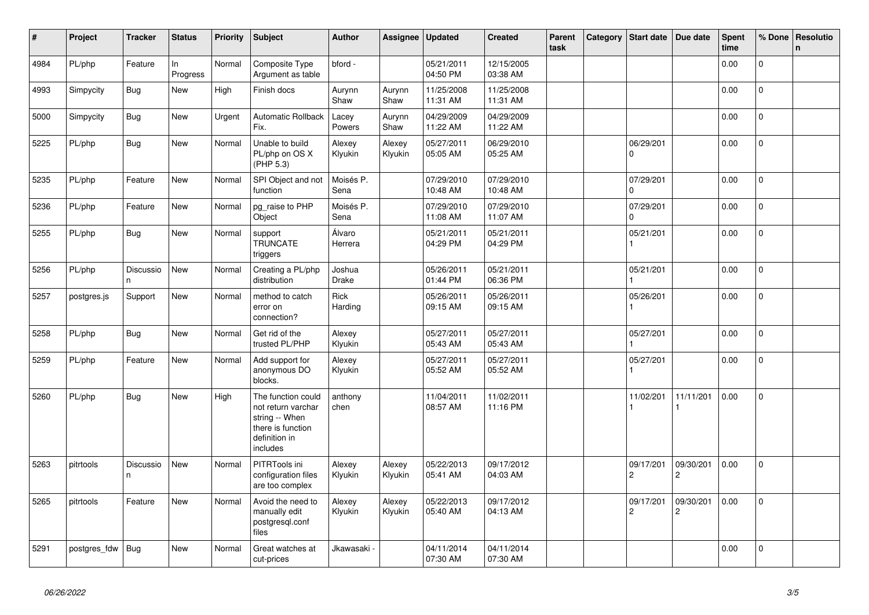| $\vert$ # | Project      | <b>Tracker</b>  | <b>Status</b>  | <b>Priority</b> | <b>Subject</b>                                                                                               | <b>Author</b>          | Assignee          | <b>Updated</b>         | <b>Created</b>         | Parent<br>task | Category | <b>Start date</b>           | Due date                    | <b>Spent</b><br>time | % Done         | Resolutio<br>n |
|-----------|--------------|-----------------|----------------|-----------------|--------------------------------------------------------------------------------------------------------------|------------------------|-------------------|------------------------|------------------------|----------------|----------|-----------------------------|-----------------------------|----------------------|----------------|----------------|
| 4984      | PL/php       | Feature         | In<br>Progress | Normal          | Composite Type<br>Argument as table                                                                          | bford -                |                   | 05/21/2011<br>04:50 PM | 12/15/2005<br>03:38 AM |                |          |                             |                             | 0.00                 | $\Omega$       |                |
| 4993      | Simpycity    | Bug             | New            | High            | Finish docs                                                                                                  | Aurynn<br>Shaw         | Aurynn<br>Shaw    | 11/25/2008<br>11:31 AM | 11/25/2008<br>11:31 AM |                |          |                             |                             | 0.00                 | $\mathsf{O}$   |                |
| 5000      | Simpycity    | <b>Bug</b>      | New            | Urgent          | <b>Automatic Rollback</b><br>Fix.                                                                            | Lacey<br>Powers        | Aurynn<br>Shaw    | 04/29/2009<br>11:22 AM | 04/29/2009<br>11:22 AM |                |          |                             |                             | 0.00                 | $\mathbf{0}$   |                |
| 5225      | PL/php       | <b>Bug</b>      | <b>New</b>     | Normal          | Unable to build<br>PL/php on OS X<br>(PHP 5.3)                                                               | Alexey<br>Klyukin      | Alexey<br>Klyukin | 05/27/2011<br>05:05 AM | 06/29/2010<br>05:25 AM |                |          | 06/29/201<br>0              |                             | 0.00                 | 0              |                |
| 5235      | PL/php       | Feature         | <b>New</b>     | Normal          | SPI Object and not<br>function                                                                               | Moisés P.<br>Sena      |                   | 07/29/2010<br>10:48 AM | 07/29/2010<br>10:48 AM |                |          | 07/29/201<br>0              |                             | 0.00                 | $\Omega$       |                |
| 5236      | PL/php       | Feature         | New            | Normal          | pg_raise to PHP<br>Object                                                                                    | Moisés P.<br>Sena      |                   | 07/29/2010<br>11:08 AM | 07/29/2010<br>11:07 AM |                |          | 07/29/201<br>0              |                             | 0.00                 | $\mathbf{0}$   |                |
| 5255      | PL/php       | <b>Bug</b>      | New            | Normal          | support<br><b>TRUNCATE</b><br>triggers                                                                       | Álvaro<br>Herrera      |                   | 05/21/2011<br>04:29 PM | 05/21/2011<br>04:29 PM |                |          | 05/21/201                   |                             | 0.00                 | 0              |                |
| 5256      | PL/php       | Discussio<br>n. | <b>New</b>     | Normal          | Creating a PL/php<br>distribution                                                                            | Joshua<br><b>Drake</b> |                   | 05/26/2011<br>01:44 PM | 05/21/2011<br>06:36 PM |                |          | 05/21/201                   |                             | 0.00                 | $\mathbf 0$    |                |
| 5257      | postgres.js  | Support         | New            | Normal          | method to catch<br>error on<br>connection?                                                                   | Rick<br>Harding        |                   | 05/26/2011<br>09:15 AM | 05/26/2011<br>09:15 AM |                |          | 05/26/201                   |                             | 0.00                 | $\Omega$       |                |
| 5258      | PL/php       | Bug             | New            | Normal          | Get rid of the<br>trusted PL/PHP                                                                             | Alexey<br>Klyukin      |                   | 05/27/2011<br>05:43 AM | 05/27/2011<br>05:43 AM |                |          | 05/27/201                   |                             | 0.00                 | 0              |                |
| 5259      | PL/php       | Feature         | New            | Normal          | Add support for<br>anonymous DO<br>blocks.                                                                   | Alexey<br>Klyukin      |                   | 05/27/2011<br>05:52 AM | 05/27/2011<br>05:52 AM |                |          | 05/27/201                   |                             | 0.00                 | $\overline{0}$ |                |
| 5260      | PL/php       | Bug             | New            | High            | The function could<br>not return varchar<br>string -- When<br>there is function<br>definition in<br>includes | anthony<br>chen        |                   | 11/04/2011<br>08:57 AM | 11/02/2011<br>11:16 PM |                |          | 11/02/201                   | 11/11/201                   | 0.00                 | $\mathbf{0}$   |                |
| 5263      | pitrtools    | Discussio<br>n. | New            | Normal          | PITRTools ini<br>configuration files<br>are too complex                                                      | Alexey<br>Klyukin      | Alexey<br>Klyukin | 05/22/2013<br>05:41 AM | 09/17/2012<br>04:03 AM |                |          | 09/17/201<br>$\overline{c}$ | 09/30/201<br>$\overline{c}$ | 0.00                 | $\mathbf{0}$   |                |
| 5265      | pitrtools    | Feature         | New            | Normal          | Avoid the need to<br>manually edit<br>postgresgl.conf<br>files                                               | Alexey<br>Klyukin      | Alexey<br>Klyukin | 05/22/2013<br>05:40 AM | 09/17/2012<br>04:13 AM |                |          | 09/17/201<br>$\overline{2}$ | 09/30/201<br>$\overline{c}$ | 0.00                 | $\mathbf{0}$   |                |
| 5291      | postgres_fdw | Bug             | New            | Normal          | Great watches at<br>cut-prices                                                                               | Jkawasaki <sub>`</sub> |                   | 04/11/2014<br>07:30 AM | 04/11/2014<br>07:30 AM |                |          |                             |                             | 0.00                 | $\Omega$       |                |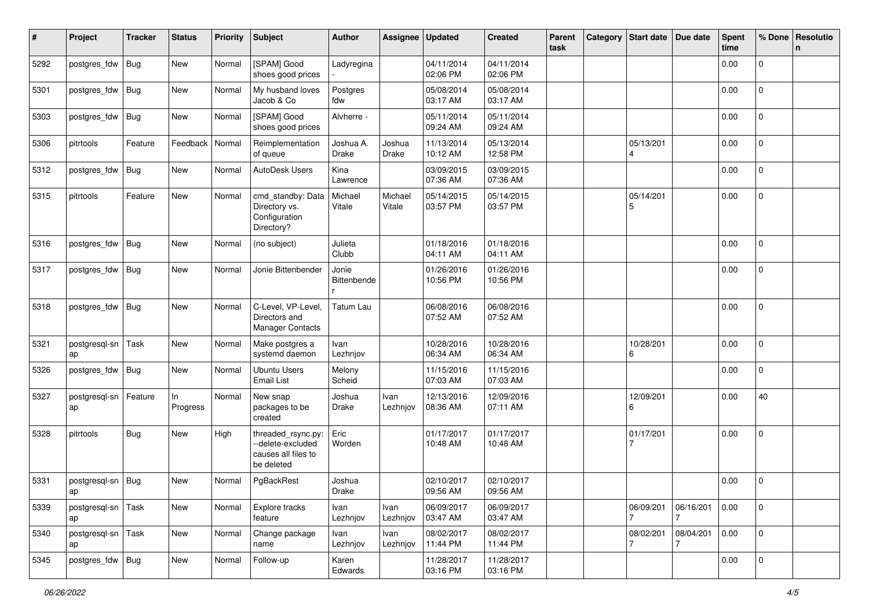| #    | Project             | <b>Tracker</b> | <b>Status</b>  | <b>Priority</b> | <b>Subject</b>                                                               | <b>Author</b>             | Assignee          | <b>Updated</b>         | <b>Created</b>         | Parent<br>task | Category Start date | Due date       | <b>Spent</b><br>time | % Done              | Resolutio<br>n |
|------|---------------------|----------------|----------------|-----------------|------------------------------------------------------------------------------|---------------------------|-------------------|------------------------|------------------------|----------------|---------------------|----------------|----------------------|---------------------|----------------|
| 5292 | postgres_fdw        | Bug            | New            | Normal          | [SPAM] Good<br>shoes good prices                                             | Ladyregina                |                   | 04/11/2014<br>02:06 PM | 04/11/2014<br>02:06 PM |                |                     |                | 0.00                 | 0                   |                |
| 5301 | postgres_fdw        | Bug            | New            | Normal          | My husband loves<br>Jacob & Co                                               | Postgres<br>fdw           |                   | 05/08/2014<br>03:17 AM | 05/08/2014<br>03:17 AM |                |                     |                | 0.00                 | 0                   |                |
| 5303 | postgres_fdw        | Bug            | New            | Normal          | [SPAM] Good<br>shoes good prices                                             | Alvherre -                |                   | 05/11/2014<br>09:24 AM | 05/11/2014<br>09:24 AM |                |                     |                | 0.00                 | 0                   |                |
| 5306 | pitrtools           | Feature        | Feedback       | Normal          | Reimplementation<br>of queue                                                 | Joshua A.<br><b>Drake</b> | Joshua<br>Drake   | 11/13/2014<br>10:12 AM | 05/13/2014<br>12:58 PM |                | 05/13/201<br>4      |                | 0.00                 | 0                   |                |
| 5312 | postgres_fdw        | <b>Bug</b>     | New            | Normal          | AutoDesk Users                                                               | Kina<br>Lawrence          |                   | 03/09/2015<br>07:36 AM | 03/09/2015<br>07:36 AM |                |                     |                | 0.00                 | $\Omega$            |                |
| 5315 | pitrtools           | Feature        | New            | Normal          | cmd_standby: Data<br>Directory vs.<br>Configuration<br>Directory?            | Michael<br>Vitale         | Michael<br>Vitale | 05/14/2015<br>03:57 PM | 05/14/2015<br>03:57 PM |                | 05/14/201<br>5      |                | 0.00                 | $\overline{0}$      |                |
| 5316 | postgres_fdw        | Bug            | <b>New</b>     | Normal          | (no subject)                                                                 | Julieta<br>Clubb          |                   | 01/18/2016<br>04:11 AM | 01/18/2016<br>04:11 AM |                |                     |                | 0.00                 | $\overline{0}$      |                |
| 5317 | postgres_fdw        | Bug            | New            | Normal          | Jonie Bittenbender                                                           | Jonie<br>Bittenbende      |                   | 01/26/2016<br>10:56 PM | 01/26/2016<br>10:56 PM |                |                     |                | 0.00                 | 0                   |                |
| 5318 | postgres_fdw        | Bug            | New            | Normal          | C-Level, VP-Level,<br>Directors and<br><b>Manager Contacts</b>               | <b>Tatum Lau</b>          |                   | 06/08/2016<br>07:52 AM | 06/08/2016<br>07:52 AM |                |                     |                | 0.00                 | $\Omega$            |                |
| 5321 | postgresql-sn<br>ap | Task           | New            | Normal          | Make postgres a<br>systemd daemon                                            | Ivan<br>Lezhnjov          |                   | 10/28/2016<br>06:34 AM | 10/28/2016<br>06:34 AM |                | 10/28/201<br>6      |                | 0.00                 | $\Omega$            |                |
| 5326 | postgres_fdw        | Bug            | New            | Normal          | <b>Ubuntu Users</b><br><b>Email List</b>                                     | Melony<br>Scheid          |                   | 11/15/2016<br>07:03 AM | 11/15/2016<br>07:03 AM |                |                     |                | 0.00                 | 0                   |                |
| 5327 | postgresql-sn<br>ap | Feature        | In<br>Progress | Normal          | New snap<br>packages to be<br>created                                        | Joshua<br>Drake           | Ivan<br>Lezhnjov  | 12/13/2016<br>08:36 AM | 12/09/2016<br>07:11 AM |                | 12/09/201<br>6      |                | 0.00                 | 40                  |                |
| 5328 | pitrtools           | <b>Bug</b>     | New            | High            | threaded_rsync.py:<br>--delete-excluded<br>causes all files to<br>be deleted | Eric<br>Worden            |                   | 01/17/2017<br>10:48 AM | 01/17/2017<br>10:48 AM |                | 01/17/201           |                | 0.00                 | 0                   |                |
| 5331 | postgresql-sn       | Bug            | New            | Normal          | PgBackRest                                                                   | Joshua<br>Drake           |                   | 02/10/2017<br>09:56 AM | 02/10/2017<br>09:56 AM |                |                     |                | 0.00                 | 0                   |                |
| 5339 | postgresql-sn<br>ap | Task           | New            | Normal          | Explore tracks<br>feature                                                    | Ivan<br>Lezhnjov          | Ivan<br>Lezhnjov  | 06/09/2017<br>03:47 AM | 06/09/2017<br>03:47 AM |                | 06/09/201           | 06/16/201<br>7 | 0.00                 | $\mathbf{0}$        |                |
| 5340 | postgresql-sn<br>ap | Task           | New            | Normal          | Change package<br>name                                                       | Ivan<br>Lezhnjov          | Ivan<br>Lezhnjov  | 08/02/2017<br>11:44 PM | 08/02/2017<br>11:44 PM |                | 08/02/201<br>7      | 08/04/201<br>7 | 0.00                 | $\mathsf{O}\xspace$ |                |
| 5345 | postgres_fdw Bug    |                | New            | Normal          | Follow-up                                                                    | Karen<br>Edwards          |                   | 11/28/2017<br>03:16 PM | 11/28/2017<br>03:16 PM |                |                     |                | 0.00                 | 0                   |                |